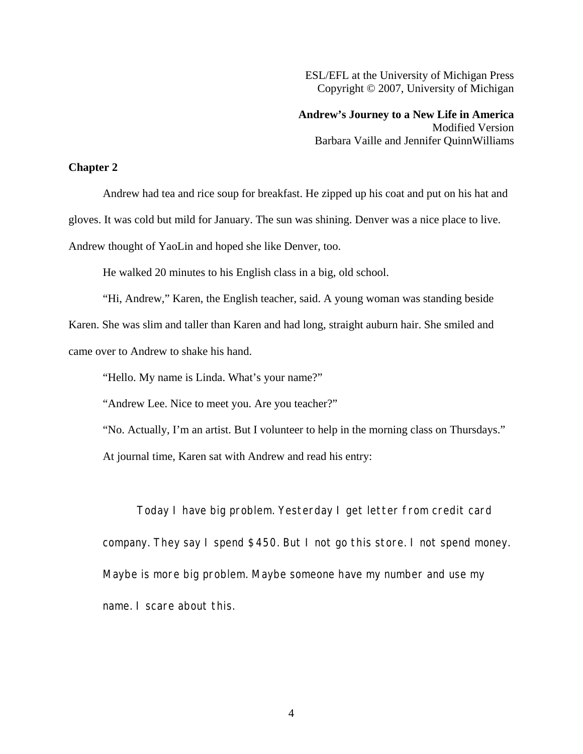ESL/EFL at the University of Michigan Press Copyright © 2007, University of Michigan

**Andrew's Journey to a New Life in America**  Modified Version Barbara Vaille and Jennifer QuinnWilliams

## **Chapter 2**

Andrew had tea and rice soup for breakfast. He zipped up his coat and put on his hat and gloves. It was cold but mild for January. The sun was shining. Denver was a nice place to live. Andrew thought of YaoLin and hoped she like Denver, too.

He walked 20 minutes to his English class in a big, old school.

"Hi, Andrew," Karen, the English teacher, said. A young woman was standing beside Karen. She was slim and taller than Karen and had long, straight auburn hair. She smiled and came over to Andrew to shake his hand.

"Hello. My name is Linda. What's your name?"

"Andrew Lee. Nice to meet you. Are you teacher?"

"No. Actually, I'm an artist. But I volunteer to help in the morning class on Thursdays."

At journal time, Karen sat with Andrew and read his entry:

Today I have big problem. Yesterday I get letter from credit card company. They say I spend \$450. But I not go this store. I not spend money. Maybe is more big problem. Maybe someone have my number and use my name. I scare about this.